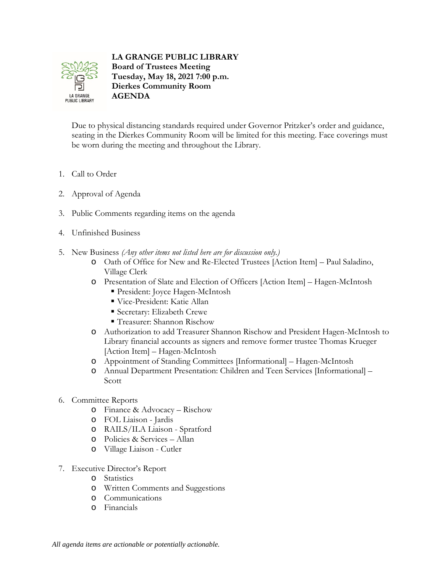

**LA GRANGE PUBLIC LIBRARY Board of Trustees Meeting Tuesday, May 18, 2021 7:00 p.m. Dierkes Community Room AGENDA**

Due to physical distancing standards required under Governor Pritzker's order and guidance, seating in the Dierkes Community Room will be limited for this meeting. Face coverings must be worn during the meeting and throughout the Library.

- 1. Call to Order
- 2. Approval of Agenda
- 3. Public Comments regarding items on the agenda
- 4. Unfinished Business
- 5. New Business *(Any other items not listed here are for discussion only.)*
	- o Oath of Office for New and Re-Elected Trustees [Action Item] Paul Saladino, Village Clerk
	- o Presentation of Slate and Election of Officers [Action Item] Hagen-McIntosh
		- President: Joyce Hagen-McIntosh
		- Vice-President: Katie Allan
		- Secretary: Elizabeth Crewe
		- Treasurer: Shannon Rischow
	- o Authorization to add Treasurer Shannon Rischow and President Hagen-McIntosh to Library financial accounts as signers and remove former trustee Thomas Krueger [Action Item] – Hagen-McIntosh
	- o Appointment of Standing Committees [Informational] Hagen-McIntosh
	- o Annual Department Presentation: Children and Teen Services [Informational] Scott
- 6. Committee Reports
	- o Finance & Advocacy Rischow
	- o FOL Liaison Jardis
	- o RAILS/ILA Liaison Spratford
	- o Policies & Services Allan
	- o Village Liaison Cutler
- 7. Executive Director's Report
	- o Statistics
	- o Written Comments and Suggestions
	- o Communications
	- o Financials